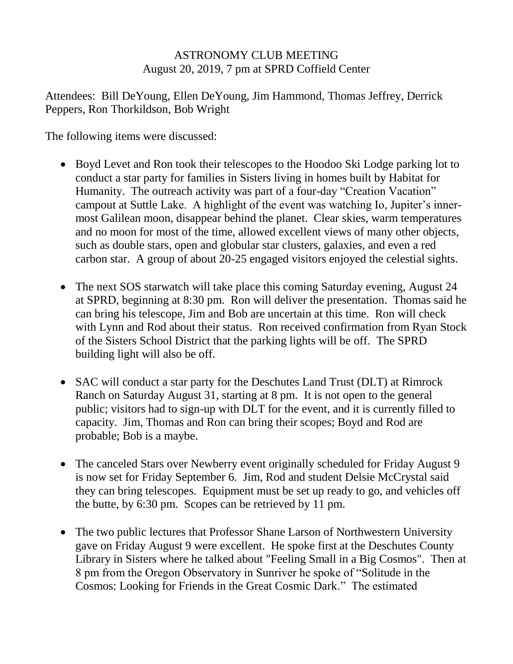## ASTRONOMY CLUB MEETING August 20, 2019, 7 pm at SPRD Coffield Center

Attendees: Bill DeYoung, Ellen DeYoung, Jim Hammond, Thomas Jeffrey, Derrick Peppers, Ron Thorkildson, Bob Wright

The following items were discussed:

- Boyd Levet and Ron took their telescopes to the Hoodoo Ski Lodge parking lot to conduct a star party for families in Sisters living in homes built by Habitat for Humanity. The outreach activity was part of a four-day "Creation Vacation" campout at Suttle Lake. A highlight of the event was watching Io, Jupiter's innermost Galilean moon, disappear behind the planet. Clear skies, warm temperatures and no moon for most of the time, allowed excellent views of many other objects, such as double stars, open and globular star clusters, galaxies, and even a red carbon star. A group of about 20-25 engaged visitors enjoyed the celestial sights.
- The next SOS starwatch will take place this coming Saturday evening, August 24 at SPRD, beginning at 8:30 pm. Ron will deliver the presentation. Thomas said he can bring his telescope, Jim and Bob are uncertain at this time. Ron will check with Lynn and Rod about their status. Ron received confirmation from Ryan Stock of the Sisters School District that the parking lights will be off. The SPRD building light will also be off.
- SAC will conduct a star party for the Deschutes Land Trust (DLT) at Rimrock Ranch on Saturday August 31, starting at 8 pm. It is not open to the general public; visitors had to sign-up with DLT for the event, and it is currently filled to capacity. Jim, Thomas and Ron can bring their scopes; Boyd and Rod are probable; Bob is a maybe.
- The canceled Stars over Newberry event originally scheduled for Friday August 9 is now set for Friday September 6. Jim, Rod and student Delsie McCrystal said they can bring telescopes. Equipment must be set up ready to go, and vehicles off the butte, by 6:30 pm. Scopes can be retrieved by 11 pm.
- The two public lectures that Professor Shane Larson of Northwestern University gave on Friday August 9 were excellent. He spoke first at the Deschutes County Library in Sisters where he talked about "Feeling Small in a Big Cosmos". Then at 8 pm from the Oregon Observatory in Sunriver he spoke of "Solitude in the Cosmos: Looking for Friends in the Great Cosmic Dark." The estimated